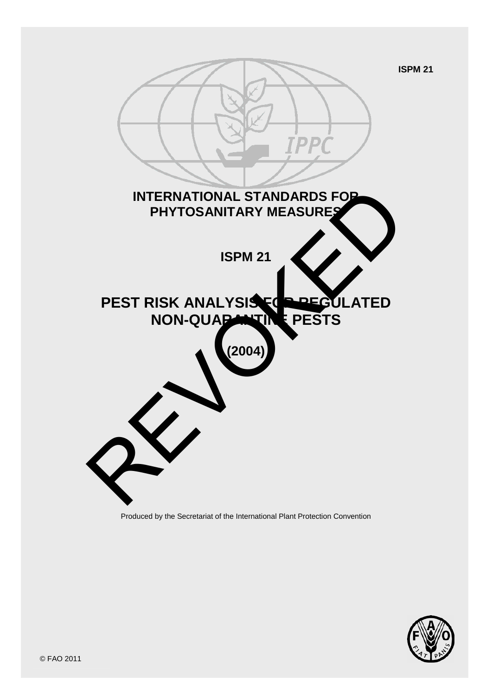

Produced by the Secretariat of the International Plant Protection Convention

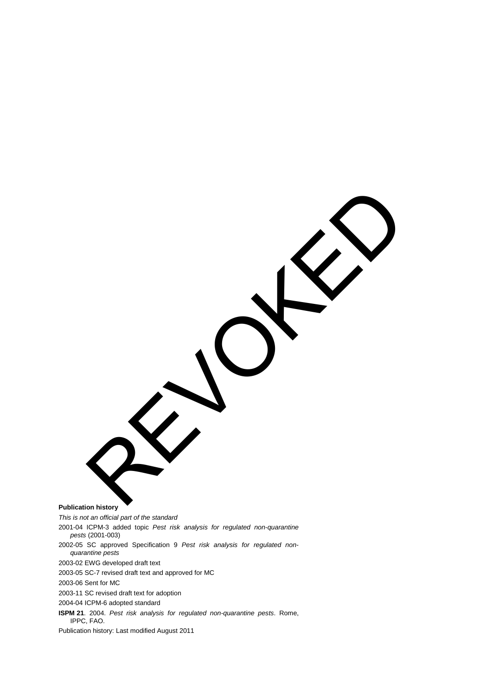**Publication history**  REVOKED

*This is not an official part of the standard* 2001-04 ICPM-3 added topic *Pest risk analysis for regulated non-quarantine pests* (2001-003) 2002-05 SC approved Specification 9 *Pest risk analysis for regulated nonquarantine pests* 2003-02 EWG developed draft text 2003-05 SC-7 revised draft text and approved for MC 2003-06 Sent for MC 2003-11 SC revised draft text for adoption 2004-04 ICPM-6 adopted standard **ISPM 21**. 2004. *Pest risk analysis for regulated non-quarantine pests*. Rome, IPPC, FAO. Publication history: Last modified August 2011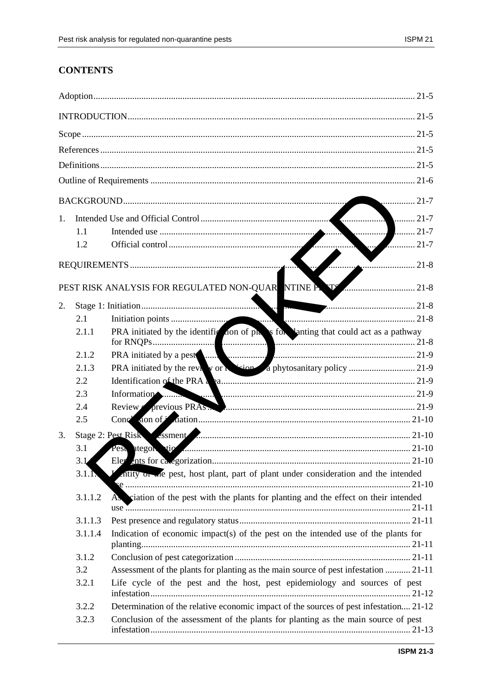# **CONTENTS**

|                                                                  | $\ldots$ 21-7 |                                                                                                                                                                                                                                |  |  |  |
|------------------------------------------------------------------|---------------|--------------------------------------------------------------------------------------------------------------------------------------------------------------------------------------------------------------------------------|--|--|--|
| $1_{\cdot}$                                                      |               |                                                                                                                                                                                                                                |  |  |  |
|                                                                  | 1.1           | $\ldots$ 21-7                                                                                                                                                                                                                  |  |  |  |
|                                                                  | 1.2           | 21-7                                                                                                                                                                                                                           |  |  |  |
|                                                                  |               | $\overline{\phantom{a} \phantom{a}}$ 21-8                                                                                                                                                                                      |  |  |  |
| <b>TTS</b><br>PEST RISK ANALYSIS FOR REGULATED NON-QUARENTINE P. |               |                                                                                                                                                                                                                                |  |  |  |
| 2.                                                               |               |                                                                                                                                                                                                                                |  |  |  |
|                                                                  | 2.1           |                                                                                                                                                                                                                                |  |  |  |
|                                                                  | 2.1.1         | PRA initiated by the identification of property for lanting that could act as a pathway                                                                                                                                        |  |  |  |
|                                                                  | 2.1.2         |                                                                                                                                                                                                                                |  |  |  |
|                                                                  | 2.1.3         |                                                                                                                                                                                                                                |  |  |  |
|                                                                  | 2.2           | Identification of the PRA a a measurement contains a contract of the PRA a candidate a series of the PRA and the series of the PRA and the series of the PRA and the series of the PRA and the series of the PRA and the serie |  |  |  |
|                                                                  | 2.3           | Information                                                                                                                                                                                                                    |  |  |  |
|                                                                  | 2.4           | Review previous PRAS.                                                                                                                                                                                                          |  |  |  |
|                                                                  | 2.5           |                                                                                                                                                                                                                                |  |  |  |
| 3.                                                               |               | Stage 2: Pest Risk Soment Manual Communication and the Stage 2: Pest Risk                                                                                                                                                      |  |  |  |
|                                                                  | 3.1           |                                                                                                                                                                                                                                |  |  |  |
|                                                                  | 3.1           |                                                                                                                                                                                                                                |  |  |  |
|                                                                  | 3.1.1         | If intended in the pest, host plant, part of plant under consideration and the intended                                                                                                                                        |  |  |  |
|                                                                  | 3.1.1.2       | As ciation of the pest with the plants for planting and the effect on their intended                                                                                                                                           |  |  |  |
|                                                                  | 3.1.1.3       |                                                                                                                                                                                                                                |  |  |  |
|                                                                  | 3.1.1.4       | Indication of economic impact(s) of the pest on the intended use of the plants for                                                                                                                                             |  |  |  |
|                                                                  | 3.1.2         |                                                                                                                                                                                                                                |  |  |  |
|                                                                  | 3.2           | Assessment of the plants for planting as the main source of pest infestation  21-11                                                                                                                                            |  |  |  |
|                                                                  | 3.2.1         | Life cycle of the pest and the host, pest epidemiology and sources of pest                                                                                                                                                     |  |  |  |
|                                                                  |               |                                                                                                                                                                                                                                |  |  |  |
|                                                                  | 3.2.2         | Determination of the relative economic impact of the sources of pest infestation 21-12                                                                                                                                         |  |  |  |
|                                                                  | 3.2.3         | Conclusion of the assessment of the plants for planting as the main source of pest                                                                                                                                             |  |  |  |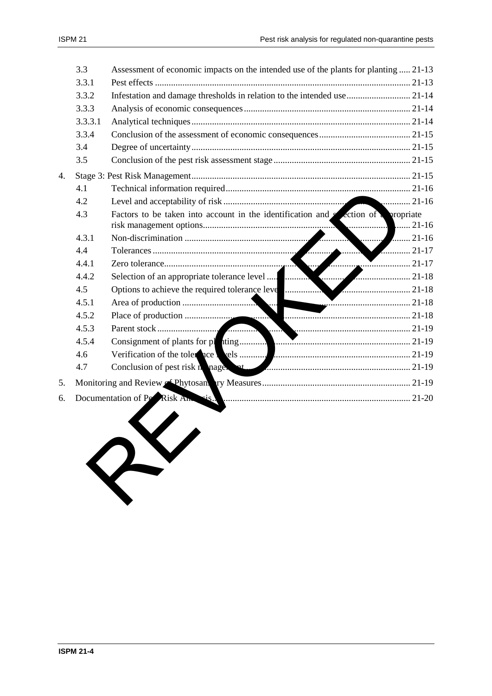| 3.3     | Assessment of economic impacts on the intended use of the plants for planting  21-13 |                                                                                                                                                                                                                                                                                                                                                                                                                                                                                                                                         |
|---------|--------------------------------------------------------------------------------------|-----------------------------------------------------------------------------------------------------------------------------------------------------------------------------------------------------------------------------------------------------------------------------------------------------------------------------------------------------------------------------------------------------------------------------------------------------------------------------------------------------------------------------------------|
| 3.3.1   |                                                                                      |                                                                                                                                                                                                                                                                                                                                                                                                                                                                                                                                         |
| 3.3.2   |                                                                                      |                                                                                                                                                                                                                                                                                                                                                                                                                                                                                                                                         |
| 3.3.3   |                                                                                      |                                                                                                                                                                                                                                                                                                                                                                                                                                                                                                                                         |
| 3.3.3.1 |                                                                                      |                                                                                                                                                                                                                                                                                                                                                                                                                                                                                                                                         |
| 3.3.4   |                                                                                      |                                                                                                                                                                                                                                                                                                                                                                                                                                                                                                                                         |
| 3.4     |                                                                                      |                                                                                                                                                                                                                                                                                                                                                                                                                                                                                                                                         |
| 3.5     |                                                                                      |                                                                                                                                                                                                                                                                                                                                                                                                                                                                                                                                         |
|         |                                                                                      |                                                                                                                                                                                                                                                                                                                                                                                                                                                                                                                                         |
| 4.1     |                                                                                      |                                                                                                                                                                                                                                                                                                                                                                                                                                                                                                                                         |
| 4.2     |                                                                                      |                                                                                                                                                                                                                                                                                                                                                                                                                                                                                                                                         |
| 4.3     |                                                                                      |                                                                                                                                                                                                                                                                                                                                                                                                                                                                                                                                         |
| 4.3.1   | $\ldots$                                                                             | $\ldots$ 21-16                                                                                                                                                                                                                                                                                                                                                                                                                                                                                                                          |
| 4.4     |                                                                                      |                                                                                                                                                                                                                                                                                                                                                                                                                                                                                                                                         |
| 4.4.1   |                                                                                      |                                                                                                                                                                                                                                                                                                                                                                                                                                                                                                                                         |
| 4.4.2   |                                                                                      |                                                                                                                                                                                                                                                                                                                                                                                                                                                                                                                                         |
| 4.5     |                                                                                      |                                                                                                                                                                                                                                                                                                                                                                                                                                                                                                                                         |
| 4.5.1   |                                                                                      |                                                                                                                                                                                                                                                                                                                                                                                                                                                                                                                                         |
| 4.5.2   |                                                                                      |                                                                                                                                                                                                                                                                                                                                                                                                                                                                                                                                         |
| 4.5.3   |                                                                                      |                                                                                                                                                                                                                                                                                                                                                                                                                                                                                                                                         |
| 4.5.4   |                                                                                      |                                                                                                                                                                                                                                                                                                                                                                                                                                                                                                                                         |
| 4.6     |                                                                                      |                                                                                                                                                                                                                                                                                                                                                                                                                                                                                                                                         |
| 4.7     |                                                                                      |                                                                                                                                                                                                                                                                                                                                                                                                                                                                                                                                         |
|         |                                                                                      |                                                                                                                                                                                                                                                                                                                                                                                                                                                                                                                                         |
|         |                                                                                      |                                                                                                                                                                                                                                                                                                                                                                                                                                                                                                                                         |
|         |                                                                                      |                                                                                                                                                                                                                                                                                                                                                                                                                                                                                                                                         |
|         |                                                                                      | Infestation and damage thresholds in relation to the intended use  21-14<br>Factors to be taken into account in the identification and $s$ ection of $\sqrt{s}$ propriate<br>Options to achieve the required tolerance leve <b>and the contract of the contract of the contract of the contract of the contract of the contract of the contract of the contract of the contract of the contract of the contra</b><br>Conclusion of pest risk n nage of the conclusion of pest risk n nage of<br>Documentation of Pe Risk Antesis.<br>RY |

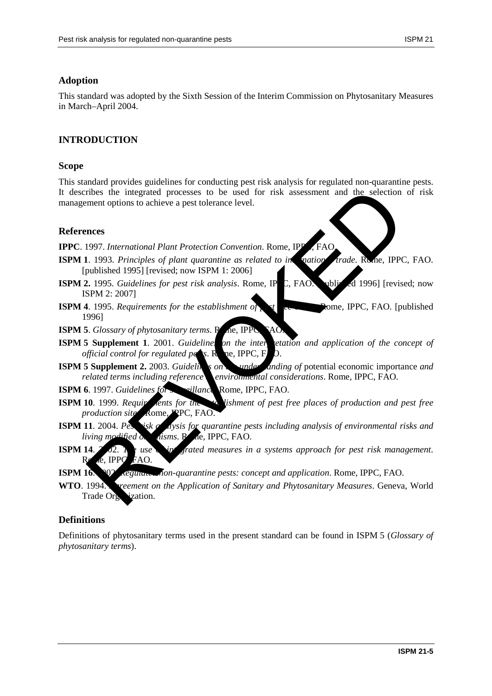### **Adoption**

This standard was adopted by the Sixth Session of the Interim Commission on Phytosanitary Measures in March–April 2004.

## **INTRODUCTION**

#### **Scope**

This standard provides guidelines for conducting pest risk analysis for regulated non-quarantine pests. It describes the integrated processes to be used for risk assessment and the selection of risk management options to achieve a pest tolerance level. ribes the integrated processes to be used for risk assessment and the selection<br>ment options to achieve a pest tolerance level.<br>
Revolution of the selection<br>
1993. Principles of plant quarantine as related to in antioparti

#### **References**

**IPPC**. 1997. *International Plant Protection Convention*. Rome, IPP

- **ISPM 1.** 1993. *Principles of plant quarantine as related to international trade*. Rome, IPPC, FAO. [published 1995] [revised; now ISPM 1: 2006]
- **ISPM 2.** 1995. *Guidelines for pest risk analysis*. Rome, IP<sub>C</sub>, FAO. [published 1996] [revised; now ISPM 2: 2007]
- **ISPM 4**. 1995. *Requirements for the establishment of pet* free areas. Perfect FAO. [published 1996]

**ISPM 5**. *Glossary of phytosanitary terms*. Rome, IPPC

- **ISPM 5 Supplement 1**. 2001. *Guidelines on the interpretation and application of the concept of official control for regulated parts. Represently, P.D. official control for regulated pessime.* Represents Represent D.
- **ISPM 5 Supplement 2.** 2003. *Guideling on the under and and ing of potential economic importance <i>and related terms including reference environmental considerations. Rome, IPPC, FAO.*

**ISPM 6**. 1997. *Guidelines for surveillance*. Rome, IPPC, FAO.

- **ISPM 10**. 1999. *Requirements for the establishment of pest free places of production and pest free production site* Rome, *PPC*, FAO.
- **ISPM 11**. 2004. Pest risk and *dysis for quarantine pests including analysis of environmental risks and living modified organisms.* R<sub>ne</sub>, IPPC, FAO.
- **ISPM 14. 2002.** *The use of integrated measures in a systems approach for pest risk management.*  $\epsilon$  IPPC, FAO.
- **ISPM 16.** 2002. *Regulared non-quarantine pests: concept and application.* Rome, IPPC, FAO.
- **WTO**. 1994. *Agreement on the Application of Sanitary and Phytosanitary Measures*. Geneva, World Trade Organization.

### **Definitions**

Definitions of phytosanitary terms used in the present standard can be found in ISPM 5 (*Glossary of phytosanitary terms*).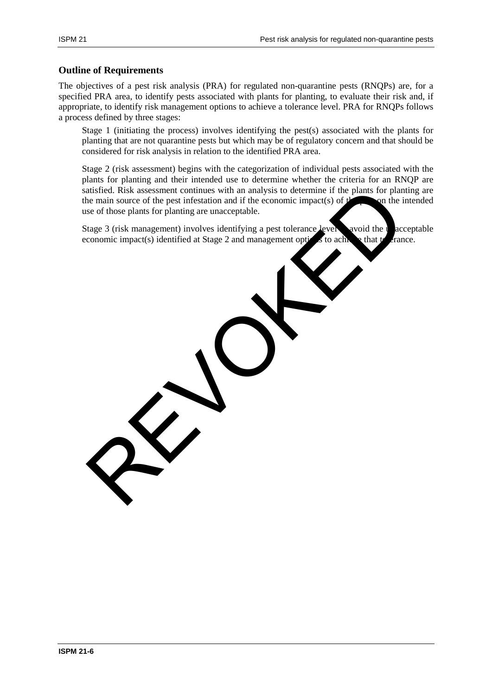#### **Outline of Requirements**

The objectives of a pest risk analysis (PRA) for regulated non-quarantine pests (RNQPs) are, for a specified PRA area, to identify pests associated with plants for planting, to evaluate their risk and, if appropriate, to identify risk management options to achieve a tolerance level. PRA for RNQPs follows a process defined by three stages:

Stage 1 (initiating the process) involves identifying the pest(s) associated with the plants for planting that are not quarantine pests but which may be of regulatory concern and that should be considered for risk analysis in relation to the identified PRA area.

Stage 2 (risk assessment) begins with the categorization of individual pests associated with the plants for planting and their intended use to determine whether the criteria for an RNQP are satisfied. Risk assessment continues with an analysis to determine if the plants for planting are the main source of the pest infestation and if the economic impact(s) of  $t$  on the intended use of those plants for planting are unacceptable. atisfied. Risk assessment continues with an analysis to determine if the plants for plant<br>the main source of the pest infestation and if the economic impact(s) of plants for plant<br>is es of those plants for planting are una

Stage 3 (risk management) involves identifying a pest tolerance level avoid the unacceptable economic impact(s) identified at Stage 2 and management options to achieve that to crance.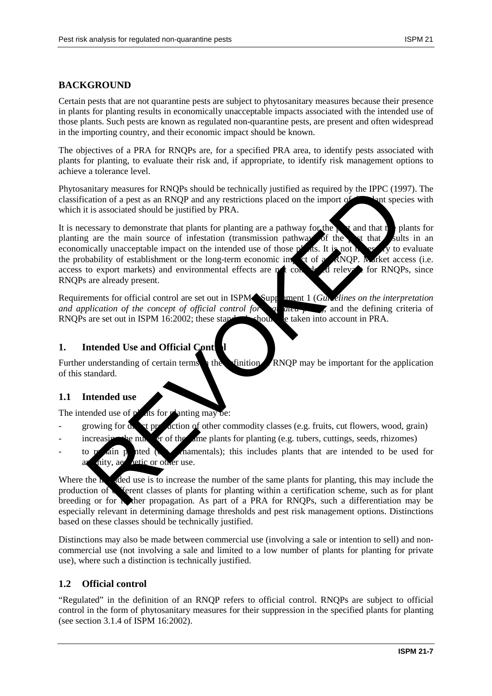## **BACKGROUND**

Certain pests that are not quarantine pests are subject to phytosanitary measures because their presence in plants for planting results in economically unacceptable impacts associated with the intended use of those plants. Such pests are known as regulated non-quarantine pests, are present and often widespread in the importing country, and their economic impact should be known.

The objectives of a PRA for RNQPs are, for a specified PRA area, to identify pests associated with plants for planting, to evaluate their risk and, if appropriate, to identify risk management options to achieve a tolerance level.

Phytosanitary measures for RNQPs should be technically justified as required by the IPPC (1997). The classification of a pest as an RNQP and any restrictions placed on the import of **the plant** species with which it is associated should be justified by PRA.

It is necessary to demonstrate that plants for planting are a pathway for the pearl of that the plants for planting are the main source of infestation (transmission pathway) of the pest that sults in an economically unacceptable impact on the intended use of those plants. It is not necessary to evaluate the probability of establishment or the long-term economic impact of a  $\alpha$  RNOP. Market access (i.e. access to export markets) and environmental effects are not considered relevant for RNOPs, since RNQPs are already present. initial metastanding of certain terms the chinal be technically justified as required by the IPPC (199<br>
raisino of a pest as an RNOP and any restrictions placed on the import of<br>
tis associated should be justified by PRA.<br>

Requirements for official control are set out in ISPM Supplement 1 (*Guidelines on the interpretation and application of the concept of official control for region in the defining criteria of* RNQPs are set out in ISPM 16:2002; these standards showly be taken into account in PRA.

## **1.** Intended Use and Official Cont

Further understanding of certain terms in the definition RNQP may be important for the application of this standard.

### **1.1 Intended use**

The intended use of  $p^{\prime}$  ats for planting may be:

- growing for  $\alpha$  at production of other commodity classes (e.g. fruits, cut flowers, wood, grain)
- increasing the number of the same plants for planting (e.g. tubers, cuttings, seeds, rhizomes)
- to remain planted (e.g. or mamentals); this includes plants that are intended to be used for nity, aesthetic or other use.

Where the  $\mathbf{h}$  ded use is to increase the number of the same plants for planting, this may include the production of  $\epsilon$  ferent classes of plants for planting within a certification scheme, such as for plant breeding or for **the propagation**. As part of a PRA for RNQPs, such a differentiation may be especially relevant in determining damage thresholds and pest risk management options. Distinctions based on these classes should be technically justified.

Distinctions may also be made between commercial use (involving a sale or intention to sell) and noncommercial use (not involving a sale and limited to a low number of plants for planting for private use), where such a distinction is technically justified.

### **1.2 Official control**

"Regulated" in the definition of an RNQP refers to official control. RNQPs are subject to official control in the form of phytosanitary measures for their suppression in the specified plants for planting (see section 3.1.4 of ISPM 16:2002).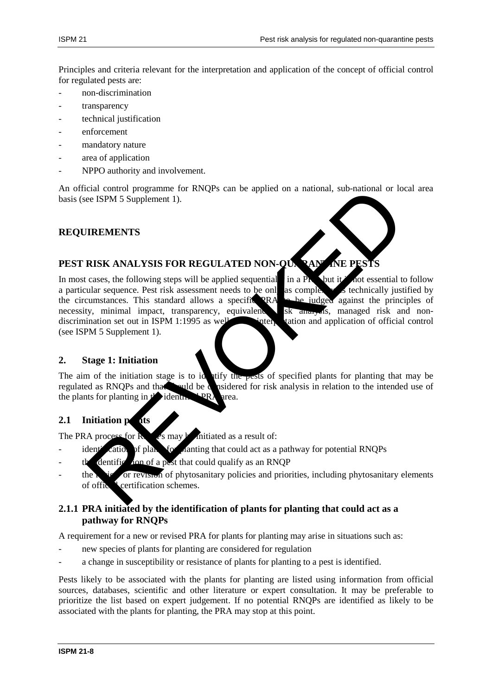Principles and criteria relevant for the interpretation and application of the concept of official control for regulated pests are:

- non-discrimination
- transparency
- technical justification
- enforcement
- mandatory nature
- area of application
- NPPO authority and involvement.

An official control programme for RNQPs can be applied on a national, sub-national or local area basis (see ISPM 5 Supplement 1).

### **REQUIREMENTS**

# PEST RISK ANALYSIS FOR REGULATED NON-QUARANTINE PESTS

In most cases, the following steps will be applied sequential in a PRA but it is not essential to follow a particular sequence. Pest risk assessment needs to be only as complex as technically justified by the circumstances. This standard allows a specific RRA the circumstances. This standard allows a specific PRA necessity, minimal impact, transparency, equivalence,  $s$   $\overline{s}$  and  $\overline{s}$  managed risk and nondiscrimination set out in ISPM 1:1995 as well as the interpretation and application of official control (see ISPM 5 Supplement 1). cial control programme for RNOPs can be applied on a national, sub-national or local cases the following steps will be applied sequential in a Protocontribution cases, the following steps will be applied sequential in a Pr



#### **2. Stage 1: Initiation**

The aim of the initiation stage is to identify the pests of specified plants for planting that may be regulated as RNOPs and that should be considered for risk analysis in relation to the intended use of the plants for planting in  $t'$  identified PRA area.

#### **2.1** Initiation points

The PRA process for  $\bf{R}$   $\rightarrow$  s may be initiated as a result of:

- $\frac{1}{2}$  identification of planting that could act as a pathway for potential RNQPs
- dentification of a pest that could qualify as an RNQP
- $\frac{d}{dt}$  for revision of phytosanitary policies and priorities, including phytosanitary elements of office **L** certification schemes.

### **2.1.1 PRA initiated by the identification of plants for planting that could act as a pathway for RNQPs**

A requirement for a new or revised PRA for plants for planting may arise in situations such as:

- new species of plants for planting are considered for regulation
- a change in susceptibility or resistance of plants for planting to a pest is identified.

Pests likely to be associated with the plants for planting are listed using information from official sources, databases, scientific and other literature or expert consultation. It may be preferable to prioritize the list based on expert judgement. If no potential RNQPs are identified as likely to be associated with the plants for planting, the PRA may stop at this point.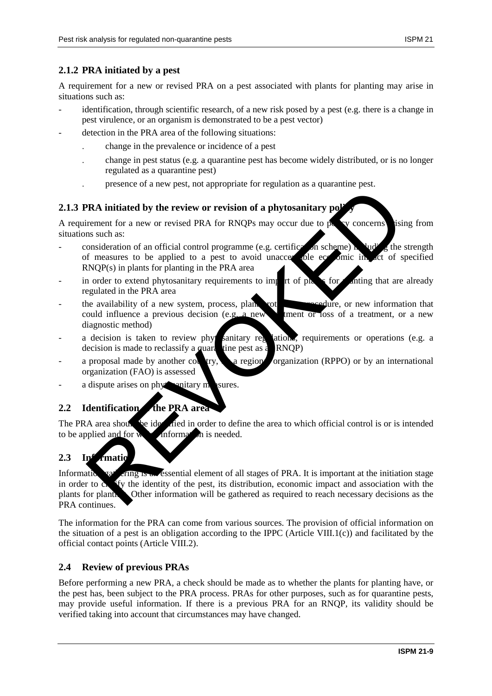## **2.1.2 PRA initiated by a pest**

A requirement for a new or revised PRA on a pest associated with plants for planting may arise in situations such as:

- $i$  identification, through scientific research, of a new risk posed by a pest (e.g. there is a change in pest virulence, or an organism is demonstrated to be a pest vector)
- detection in the PRA area of the following situations:
	- . change in the prevalence or incidence of a pest
	- . change in pest status (e.g. a quarantine pest has become widely distributed, or is no longer regulated as a quarantine pest)
	- . presence of a new pest, not appropriate for regulation as a quarantine pest.

## **2.1.3 PRA initiated by the review or revision of a phytosanitary polynomially**

A requirement for a new or revised PRA for RNOPs may occur due to  $p_0$  by concerns arising from situations such as:

- consideration of an official control programme (e.g. certification scheme) in  $\log t$  the strength of measures to be applied to a pest to avoid unacceptable economic impact of specified RNQP(s) in plants for planting in the PRA area
- in order to extend phytosanitary requirements to import of plants for any intime that are already regulated in the PRA area
- the availability of a new system, process, plant protection proceedure, or new information that could influence a previous decision (e.g. a new treatment or loss of a treatment, or a new diagnostic method)
- a decision is taken to review phy sanitary regulations, requirements or operations (e.g. a decision is made to reclassify a quarantine pest as  $\epsilon$  RNQP)
- a proposal made by another country, by a regional organization (RPPO) or by an international organization (FAO) is assessed
- a dispute arises on phytosanitary measures.

# **2.2 Identification the PRA area**

The PRA area should be identified in order to define the area to which official control is or is intended to be applied and for  $\bf{w}$  information is needed.

# 2.3 Information

Information gathering is an essential element of all stages of PRA. It is important at the initiation stage in order to  $\alpha$ , fy the identity of the pest, its distribution, economic impact and association with the plants for plantice. Other information will be gathered as required to reach necessary decisions as the PRA continues. **PRA initiated by the review or revision of a phytosanitary polymerate or a new or revision of a phytosanitary polymerate in a new or revised PRA for RNQPs may occur due to precise to be applied to a pest to avoid unacce** 

The information for the PRA can come from various sources. The provision of official information on the situation of a pest is an obligation according to the IPPC (Article VIII.1(c)) and facilitated by the official contact points (Article VIII.2).

### **2.4 Review of previous PRAs**

Before performing a new PRA, a check should be made as to whether the plants for planting have, or the pest has, been subject to the PRA process. PRAs for other purposes, such as for quarantine pests, may provide useful information. If there is a previous PRA for an RNQP, its validity should be verified taking into account that circumstances may have changed.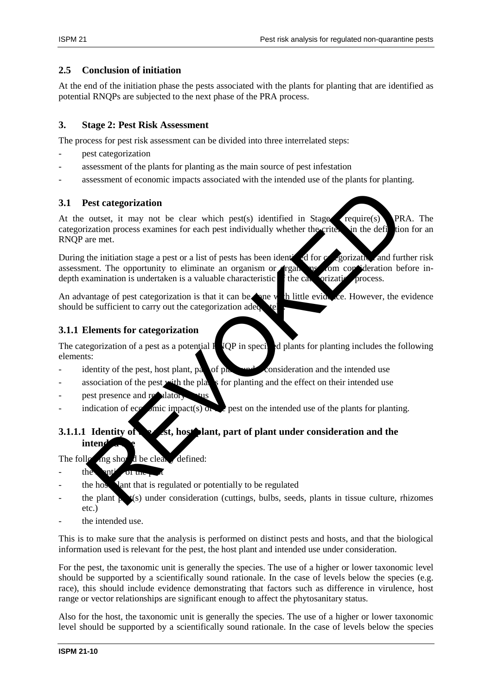## **2.5 Conclusion of initiation**

At the end of the initiation phase the pests associated with the plants for planting that are identified as potential RNQPs are subjected to the next phase of the PRA process.

## **3. Stage 2: Pest Risk Assessment**

The process for pest risk assessment can be divided into three interrelated steps:

- pest categorization
- assessment of the plants for planting as the main source of pest infestation
- assessment of economic impacts associated with the intended use of the plants for planting.

## **3.1 Pest categorization**

At the outset, it may not be clear which pest(s) identified in Stage  $\chi$  require(s) PRA. The categorization process examines for each pest individually whether the criterian in the definition for an RNQP are met.

During the initiation stage a pest or a list of pests has been identified for categorization and further risk assessment. The opportunity to eliminate an organism or *reall* as *om* consideration before indepth examination is undertaken is a valuable characteristic  $\mathbf{\hat{f}}$  the categorization process. Pest categorization<br>
outset, it may not be clear which pest(s) identified in Stage<br>
ization process examines for each pest individually whether the enter the<br>
the initiation stage a pest or a list of pests has been identif

An advantage of pest categorization is that it can be neglected with little evidence. However, the evidence should be sufficient to carry out the categorization adequately.

## **3.1.1 Elements for categorization**

The categorization of a pest as a potential  $R$   $QP$  in specified plants for planting includes the following elements:

- identity of the pest, host plant, part of plant under consideration and the intended use
- association of the pest with the plants for planting and the effect on their intended use
- pest presence and regulator
- indication of economic impact(s) on the intended use of the plants for planting.

# **3.1.1.1 Identity of the est, host plant, part of plant under consideration and the intend**

The following show  $d$  be clearly defined:

- the anti-or the pe
- the host lant that is regulated or potentially to be regulated
- the plant  $\mu$   $(s)$  under consideration (cuttings, bulbs, seeds, plants in tissue culture, rhizomes etc.)
- the intended use.

This is to make sure that the analysis is performed on distinct pests and hosts, and that the biological information used is relevant for the pest, the host plant and intended use under consideration.

For the pest, the taxonomic unit is generally the species. The use of a higher or lower taxonomic level should be supported by a scientifically sound rationale. In the case of levels below the species (e.g. race), this should include evidence demonstrating that factors such as difference in virulence, host range or vector relationships are significant enough to affect the phytosanitary status.

Also for the host, the taxonomic unit is generally the species. The use of a higher or lower taxonomic level should be supported by a scientifically sound rationale. In the case of levels below the species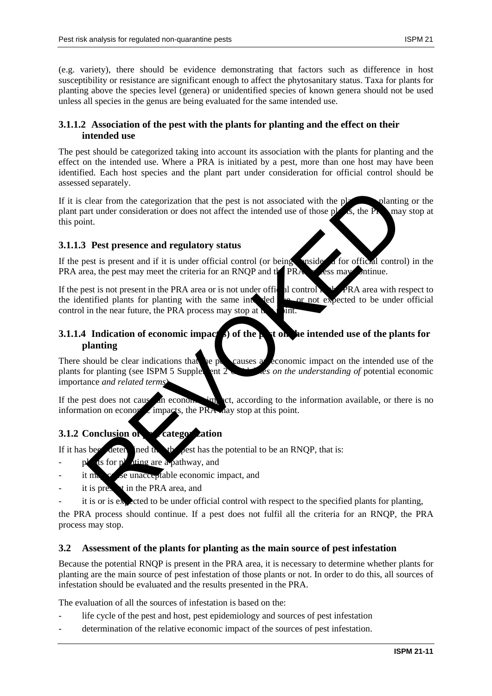(e.g. variety), there should be evidence demonstrating that factors such as difference in host susceptibility or resistance are significant enough to affect the phytosanitary status. Taxa for plants for planting above the species level (genera) or unidentified species of known genera should not be used unless all species in the genus are being evaluated for the same intended use.

## **3.1.1.2 Association of the pest with the plants for planting and the effect on their intended use**

The pest should be categorized taking into account its association with the plants for planting and the effect on the intended use. Where a PRA is initiated by a pest, more than one host may have been identified. Each host species and the plant part under consideration for official control should be assessed separately.

If it is clear from the categorization that the pest is not associated with the plants planting or the plant part under consideration or does not affect the intended use of those  $p$  as, the PRA may stop at this point.

## **3.1.1.3 Pest presence and regulatory status**

If the pest is present and if it is under official control (or being species at for official control) in the PRA area, the pest may meet the criteria for an RNOP and  $tPRA$  process may intimue.

If the pest is not present in the PRA area or is not under official control in the PRA area with respect to the identified plants for planting with the same intended see or not expected to be under official control in the near future, the PRA process may stop at  $\mathbf{h}$  int.

## **3.1.1.4** Indication of economic impact b) of the pest on the intended use of the plants for **planting**

There should be clear indications that the performance and economic impact on the intended use of the plants for planting (see ISPM 5 Supplement 2 Guidelines on the understanding of potential economic importance *and related terms*). clear from the categorization that the pest is not associated with the plantin and the consideration or does not affect the intended use of those plants, the Properties that the metallical control of being the set is pres

If the pest does not cause an economic impact, according to the information available, or there is no information on economic impacts, the PRA may stop at this point.

## **3.1.2 Conclusion of perfect categorization**

If it has been determined that the pest has the potential to be an RNOP, that is:

- $p^{\prime}$  at for p<sup>l</sup> ating are a pathway, and
- it may be unacceptable economic impact, and
- it is present in the PRA area, and
- it is or is expected to be under official control with respect to the specified plants for planting,

the PRA process should continue. If a pest does not fulfil all the criteria for an RNQP, the PRA process may stop.

## **3.2 Assessment of the plants for planting as the main source of pest infestation**

Because the potential RNQP is present in the PRA area, it is necessary to determine whether plants for planting are the main source of pest infestation of those plants or not. In order to do this, all sources of infestation should be evaluated and the results presented in the PRA.

The evaluation of all the sources of infestation is based on the:

- life cycle of the pest and host, pest epidemiology and sources of pest infestation
- determination of the relative economic impact of the sources of pest infestation.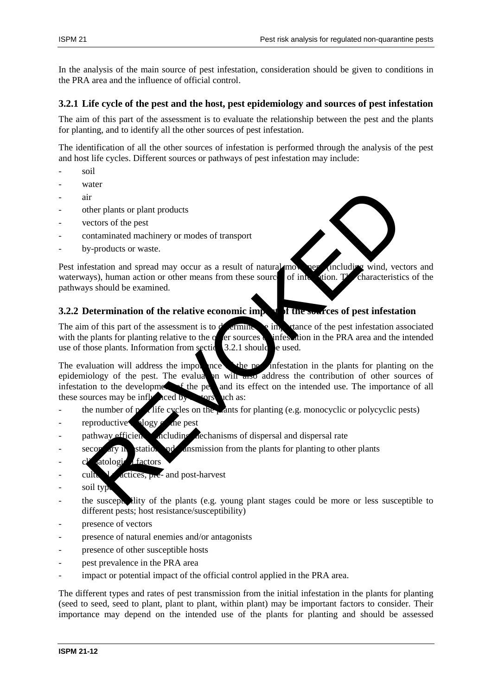In the analysis of the main source of pest infestation, consideration should be given to conditions in the PRA area and the influence of official control.

#### **3.2.1 Life cycle of the pest and the host, pest epidemiology and sources of pest infestation**

The aim of this part of the assessment is to evaluate the relationship between the pest and the plants for planting, and to identify all the other sources of pest infestation.

The identification of all the other sources of infestation is performed through the analysis of the pest and host life cycles. Different sources or pathways of pest infestation may include:

- soil
- water
- air
- other plants or plant products
- vectors of the pest
- contaminated machinery or modes of transport
- by-products or waste.

Pest infestation and spread may occur as a result of natural movement (including wind, vectors and waterways), human action or other means from these sources of infestion. The characteristics of the pathways should be examined.

### **3.2.2 Determination of the relative economic impact of the sources of pest infestation**

The aim of this part of the assessment is to  $d'$  extintive the importance of the pest infestation associated with the plants for planting relative to the other sources of infestation in the PRA area and the intended use of those plants. Information from section  $\lambda$  3.2.1 should be used.

The evaluation will address the importance of the perfectation in the plants for planting on the epidemiology of the pest. The evaluation will also address the contribution of other sources of infestation to the development of the performance of all  $\frac{1}{\sqrt{1-\frac{1}{\sqrt{1-\frac{1}{\sqrt{1-\frac{1}{\sqrt{1-\frac{1}{\sqrt{1-\frac{1}{\sqrt{1-\frac{1}{\sqrt{1-\frac{1}{\sqrt{1-\frac{1}{\sqrt{1-\frac{1}{\sqrt{1-\frac{1}{\sqrt{1-\frac{1}{\sqrt{1-\frac{1}{\sqrt{1-\frac{1}{\sqrt{1-\frac{1}{\sqrt{1-\frac{1}{\sqrt{1-\frac{1}{\sqrt{1-\frac{1}{\sqrt{1-\$ these sources may be influenced by  $\frac{1}{\sqrt{2}}$  tors such as: The particular of the particular and post-harvest<br>
the plants or plant products<br>
ordinarianted machinery or modes of transport<br>
y-products or waste.<br>
y-products or waste.<br>
Y-products or waste.<br>
Y-products or waste.<br>
System

- the number of  $p$  life cycles on the plants for planting (e.g. monocyclic or polycyclic pests)
- $reproductive$  blogy of the pest
- pathway efficiency, including mechanisms of dispersal and dispersal rate
- $\frac{1}{\sqrt{2}}$  secondary in station and anomission from the plants for planting to other plants
- climatological factors
- $\frac{1}{\sqrt{2}}$  actices, pre- and post-harvest
- soil typ
- the susceptibility of the plants (e.g. young plant stages could be more or less susceptible to different pests; host resistance/susceptibility)
- presence of vectors
- presence of natural enemies and/or antagonists
- presence of other susceptible hosts
- pest prevalence in the PRA area
- impact or potential impact of the official control applied in the PRA area.

The different types and rates of pest transmission from the initial infestation in the plants for planting (seed to seed, seed to plant, plant to plant, within plant) may be important factors to consider. Their importance may depend on the intended use of the plants for planting and should be assessed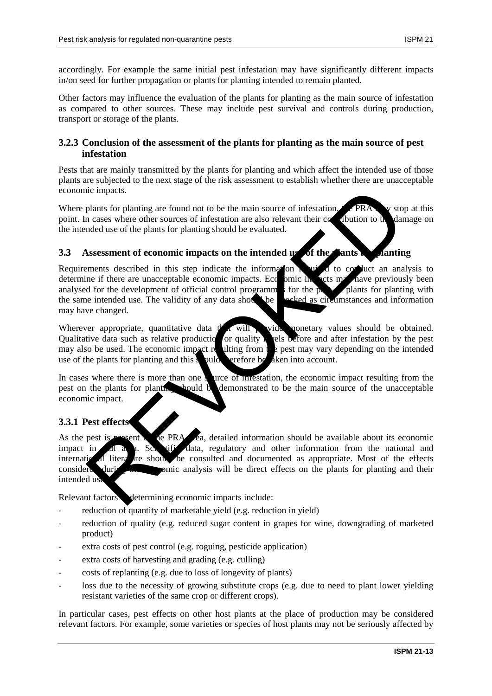accordingly. For example the same initial pest infestation may have significantly different impacts in/on seed for further propagation or plants for planting intended to remain planted.

Other factors may influence the evaluation of the plants for planting as the main source of infestation as compared to other sources. These may include pest survival and controls during production, transport or storage of the plants.

## **3.2.3 Conclusion of the assessment of the plants for planting as the main source of pest infestation**

Pests that are mainly transmitted by the plants for planting and which affect the intended use of those plants are subjected to the next stage of the risk assessment to establish whether there are unacceptable economic impacts.

Where plants for planting are found not to be the main source of infestation,  $\mathcal{L}PRA$  w stop at this point. In cases where other sources of infestation are also relevant their contribution to the damage on the intended use of the plants for planting should be evaluated.

## **3.3 Assessment of economic impacts on the intended use of the plants in planting**

Requirements described in this step indicate the information  $\mathbf{r}$  and to conduct an analysis to determine if there are unacceptable economic impacts. Economic in the sets may have previously been analysed for the development of official control programmes for the  $\alpha$  plants for planting with the same intended use. The validity of any data showled be checked as circumstances and information may have changed. ic impacts.<br>
The plants for planting are found not to be the main source of infestation<br>
The case where other sources of infestation are also relevant their consumition to the<br>
Indeed use of the plants for planting should

Wherever appropriate, quantitative data  $t'$  will wide monetary values should be obtained. Qualitative data such as relative production or quality  $\lambda$  els before and after infestation by the pest may also be used. The economic impact resulting from the pest may vary depending on the intended use of the plants for planting and this should server be also into account.

In cases where there is more than one source of intestation, the economic impact resulting from the pest on the plants for planting should be demonstrated to be the main source of the unacceptable economic impact.

### **3.3.1 Pest effects**

As the pest is **present** in the PRA **area, detailed information should be available about its economic** impact in that a h. Sc. tiff data, regulatory and other information from the national and international literature showled be consulted and documented as appropriate. Most of the effects considered during the economic analysis will be direct effects on the plants for planting and their intended us

Relevant factors determining economic impacts include:

- reduction of quantity of marketable yield (e.g. reduction in yield)
- reduction of quality (e.g. reduced sugar content in grapes for wine, downgrading of marketed product)
- extra costs of pest control (e.g. roguing, pesticide application)
- extra costs of harvesting and grading (e.g. culling)
- costs of replanting (e.g. due to loss of longevity of plants)
- loss due to the necessity of growing substitute crops (e.g. due to need to plant lower yielding resistant varieties of the same crop or different crops).

In particular cases, pest effects on other host plants at the place of production may be considered relevant factors. For example, some varieties or species of host plants may not be seriously affected by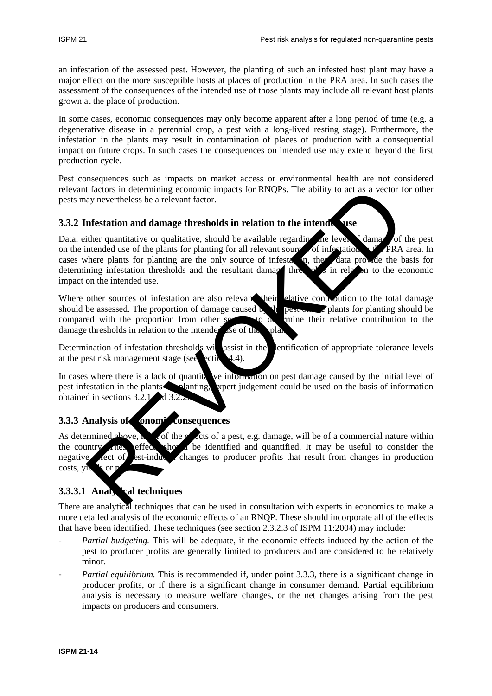an infestation of the assessed pest. However, the planting of such an infested host plant may have a major effect on the more susceptible hosts at places of production in the PRA area. In such cases the assessment of the consequences of the intended use of those plants may include all relevant host plants grown at the place of production.

In some cases, economic consequences may only become apparent after a long period of time (e.g. a degenerative disease in a perennial crop, a pest with a long-lived resting stage). Furthermore, the infestation in the plants may result in contamination of places of production with a consequential impact on future crops. In such cases the consequences on intended use may extend beyond the first production cycle.

Pest consequences such as impacts on market access or environmental health are not considered relevant factors in determining economic impacts for RNQPs. The ability to act as a vector for other pests may nevertheless be a relevant factor.

## **3.3.2 Infestation and damage thresholds in relation to the intended use**

Data, either quantitative or qualitative, should be available regarding the level  $\epsilon$  damage of the pest on the intended use of the plants for planting for all relevant sources of infestation  $\mathbf{r}$ . PRA area. In cases where plants for planting are the only source of infestation, the data provide the basis for cases where plants for planting are the only source of infestation, the data determining infestation thresholds and the resultant dama three basis in relation determining infestation thresholds and the resultant damage three  $\sigma$  in relation to the economic impact on the intended use. If actors in determining conomic inpacts for RNOPs. The ability to act as a vector from any nevertheless be a relevant factor.<br>
Inferstation and damage thresholds in relation to the intended use of the plants for planting

Where other sources of infestation are also relevant their elative controller to the total damage should be assessed. The proportion of damage caused by the pest on the plants for planting should be compared with the proportion from other sources to  $\alpha$  mine their relative contribution to the damage thresholds in relation to the intended use of the plants.

Determination of infestation thresholds will assist in the lentification of appropriate tolerance levels at the pest risk management stage (see ection 4.4).

In cases where there is a lack of quantitative information on pest damage caused by the initial level of pest infestation in the plants solution planting, expert judgement could be used on the basis of information obtained in sections  $3.2.1$  and  $3.2.2$ 

## **3.3.3 Analysis of conomic consequences**

As determined above,  $\frac{1}{\sqrt{2}}$  of the effects of a pest, e.g. damage, will be of a commercial nature within the country. These effects showld be identified and quantified. It may be useful to consider the negative ect of est-induced changes to producer profits that result from changes in production  $costs$ , yields or

# **3.3.3.1 Analytical techniques**

There are analytical techniques that can be used in consultation with experts in economics to make a more detailed analysis of the economic effects of an RNQP. These should incorporate all of the effects that have been identified. These techniques (see section 2.3.2.3 of ISPM 11:2004) may include:

- *Partial budgeting.* This will be adequate, if the economic effects induced by the action of the pest to producer profits are generally limited to producers and are considered to be relatively minor.
- *Partial equilibrium.* This is recommended if, under point 3.3.3, there is a significant change in producer profits, or if there is a significant change in consumer demand. Partial equilibrium analysis is necessary to measure welfare changes, or the net changes arising from the pest impacts on producers and consumers.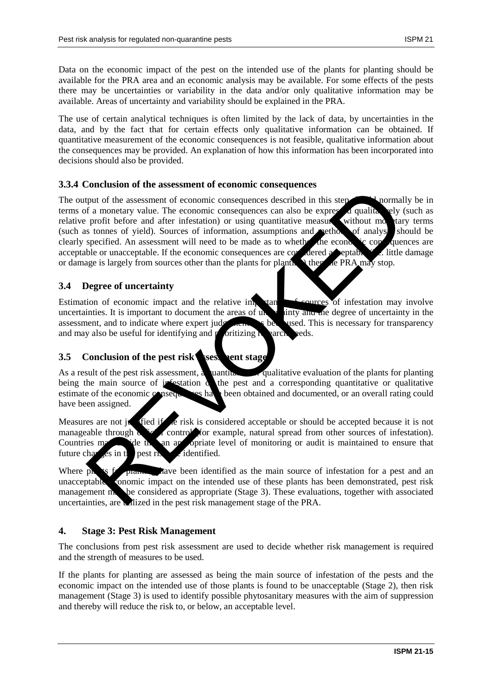Data on the economic impact of the pest on the intended use of the plants for planting should be available for the PRA area and an economic analysis may be available. For some effects of the pests there may be uncertainties or variability in the data and/or only qualitative information may be available. Areas of uncertainty and variability should be explained in the PRA.

The use of certain analytical techniques is often limited by the lack of data, by uncertainties in the data, and by the fact that for certain effects only qualitative information can be obtained. If quantitative measurement of the economic consequences is not feasible, qualitative information about the consequences may be provided. An explanation of how this information has been incorporated into decisions should also be provided.

### **3.3.4 Conclusion of the assessment of economic consequences**

The output of the assessment of economic consequences described in this step show hormally be in terms of a monetary value. The economic consequences can also be expressed qualitatively (such as relative profit before and after infestation) or using quantitative measures without monetary terms (such as tonnes of yield). Sources of information, assumptions and method of analysis should be clearly specified. An assessment will need to be made as to whether the economic consequences are acceptable or unacceptable. If the economic consequences are considered a septable  $\mathcal{I}$ . little damage or damage is largely from sources other than the plants for planting  $\lambda$  then the PRA may stop. Contained the difference of the contained the particular contains the product of the sesses and of conomic consequences described in this step particular f a monetary value. The conomic consequences can also be expressed

### **3.4 Degree of uncertainty**

Estimation of economic impact and the relative importance of sources of infestation may involve uncertainties. It is important to document the areas of uncertainty and the degree of uncertainty in the assessment, and to indicate where expert judgement  $\epsilon$  between used. This is necessary for transparency and may also be useful for identifying and prioritizing research needs.

### **3.5 Conclusion of the pest risk sessment stage**

As a result of the pest risk assessment, a quantitative evaluation of the plants for planting being the main source of infestation  $\alpha$  the pest and a corresponding quantitative or qualitative estimate of the economic consequences have been obtained and documented, or an overall rating could have been assigned.

Measures are not it fied if the risk is considered acceptable or should be accepted because it is not manageable through  $\alpha$  for  $\alpha$  control for example, natural spread from other sources of infestation). Countries may determine that an appropriate level of monitoring or audit is maintained to ensure that future changes in the pest  $r<sub>k</sub>$  are identified.

Where  $p_k$  is for planting have been identified as the main source of infestation for a pest and an unacceptable conomic impact on the intended use of these plants has been demonstrated, pest risk management may be considered as appropriate (Stage 3). These evaluations, together with associated uncertainties, are whized in the pest risk management stage of the PRA.

### **4. Stage 3: Pest Risk Management**

The conclusions from pest risk assessment are used to decide whether risk management is required and the strength of measures to be used.

If the plants for planting are assessed as being the main source of infestation of the pests and the economic impact on the intended use of those plants is found to be unacceptable (Stage 2), then risk management (Stage 3) is used to identify possible phytosanitary measures with the aim of suppression and thereby will reduce the risk to, or below, an acceptable level.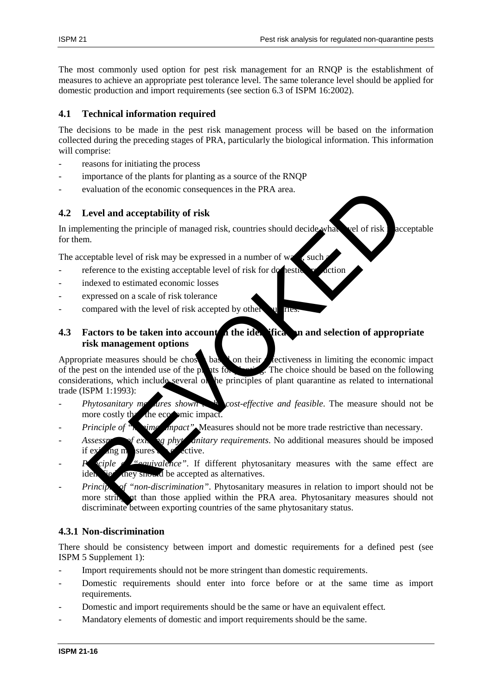The most commonly used option for pest risk management for an RNQP is the establishment of measures to achieve an appropriate pest tolerance level. The same tolerance level should be applied for domestic production and import requirements (see section 6.3 of ISPM 16:2002).

## **4.1 Technical information required**

The decisions to be made in the pest risk management process will be based on the information collected during the preceding stages of PRA, particularly the biological information. This information will comprise:

- reasons for initiating the process
- importance of the plants for planting as a source of the RNQP
- evaluation of the economic consequences in the PRA area.

# **4.2 Level and acceptability of risk**

In implementing the principle of managed risk, countries should decide what level of risk acceptable for them.

The acceptable level of risk may be expressed in a number of way, such a

- reference to the existing acceptable level of risk for domestic production
- indexed to estimated economic losses
- expressed on a scale of risk tolerance
- compared with the level of risk accepted by other qualities.

# **4.3** Factors to be taken into account in the identification and selection of appropriate **risk management options**

Appropriate measures should be chosen based on their effectiveness in limiting the economic impact of the pest on the intended use of the plants for planting. The choice should be based on the following considerations, which include several of the principles of plant quarantine as related to international trade (ISPM 1:1993): valuation of the economic consequences in the PRA area.<br>
Level and acceptability of risk<br>
ementing the principle of managed risk, countries should decide what<br>
in.<br>
in.<br>
i.<br>
i.e.<br>
reptable level of risk may be expressed i

- *Phytosanitary measures shown* to *cost-effective and feasible*. The measure should not be more costly the the economic impact.
- *Principle of*  $\tilde{h}$  *immaging impact*". Measures should not be more trade restrictive than necessary.
- Assessment of existing phytomatary requirements. No additional measures should be imposed if  $ex<sup>i</sup>$  ang m sures  $e<sup>i</sup>$  effective.
- ciple **Principle of "equivalence**". If different phytosanitary measures with the same effect are identified, they should be accepted as alternatives.
- *Princip* of "non-discrimination". Phytosanitary measures in relation to import should not be more string at than those applied within the PRA area. Phytosanitary measures should not discriminate between exporting countries of the same phytosanitary status.

## **4.3.1 Non-discrimination**

There should be consistency between import and domestic requirements for a defined pest (see ISPM 5 Supplement 1):

- Import requirements should not be more stringent than domestic requirements.
- Domestic requirements should enter into force before or at the same time as import requirements.
- Domestic and import requirements should be the same or have an equivalent effect.
- Mandatory elements of domestic and import requirements should be the same.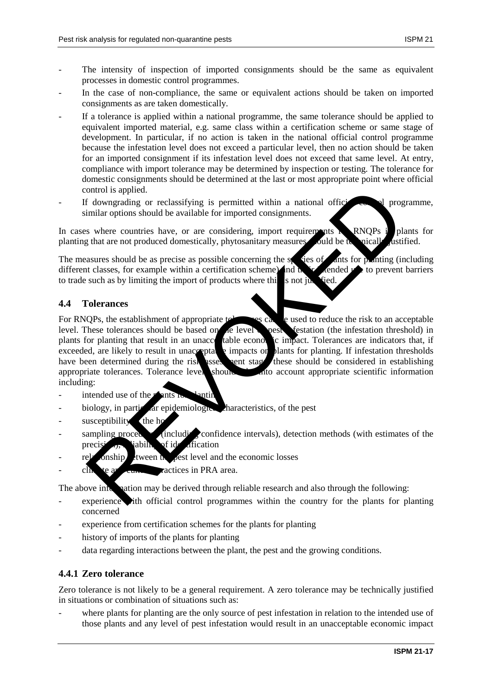- The intensity of inspection of imported consignments should be the same as equivalent processes in domestic control programmes.
- In the case of non-compliance, the same or equivalent actions should be taken on imported consignments as are taken domestically.
- If a tolerance is applied within a national programme, the same tolerance should be applied to equivalent imported material, e.g. same class within a certification scheme or same stage of development. In particular, if no action is taken in the national official control programme because the infestation level does not exceed a particular level, then no action should be taken for an imported consignment if its infestation level does not exceed that same level. At entry, compliance with import tolerance may be determined by inspection or testing. The tolerance for domestic consignments should be determined at the last or most appropriate point where official control is applied.
- If downgrading or reclassifying is permitted within a national official control programme, similar options should be available for imported consignments.

In cases where countries have, or are considering, import requirements  $\sum$  RNQPs in plants for planting that are not produced domestically, phytosanitary measures sould be technically distributed.

The measures should be as precise as possible concerning the species of ants for planting (including different classes, for example within a certification scheme) and  $\mathbf{h}$ ,  $\mathbf{r}$  dended  $\mathbf{r}$  to prevent barriers different classes, for example within a certification scheme) and the vended to trade such as by limiting the import of products where this is not just fied.

### **4.4 Tolerances**

For RNQPs, the establishment of appropriate to research examples can be used to reduce the risk to an acceptable level. These tolerances should be based on the level **best** festation (the infestation threshold) in plants for planting that result in an unacce table economic impact. Tolerances are indicators that, if exceeded, are likely to result in unacceptable impacts on plants for planting. If infestation thresholds have been determined during the risk assessment stage, these should be considered in establishing appropriate tolerances. Tolerance level should take into account appropriate scientific information including: ontrol is applied.<br>
If downgrading or reclassifying is permitted within a national office<br>
from arrongading or reclassifying is permitted within a national office<br>
summar options should be available for imported consignmen

- $intended use of the  $P$  and  $P$$
- $biploq$  in particular epidemiological characteristics, of the pest
- $-$  susceptibility the host
- sampling procedures (including confidence intervals), detection methods (with estimates of the precision, vability of identification
- $rel<sub>z</sub>$  conship  $l<sub>z</sub>$  tween the pest level and the economic losses
- $\chi$  cultural practices in PRA area.

The above information may be derived through reliable research and also through the following:

- experience ith official control programmes within the country for the plants for planting concerned
- experience from certification schemes for the plants for planting
- history of imports of the plants for planting
- data regarding interactions between the plant, the pest and the growing conditions.

### **4.4.1 Zero tolerance**

Zero tolerance is not likely to be a general requirement. A zero tolerance may be technically justified in situations or combination of situations such as:

where plants for planting are the only source of pest infestation in relation to the intended use of those plants and any level of pest infestation would result in an unacceptable economic impact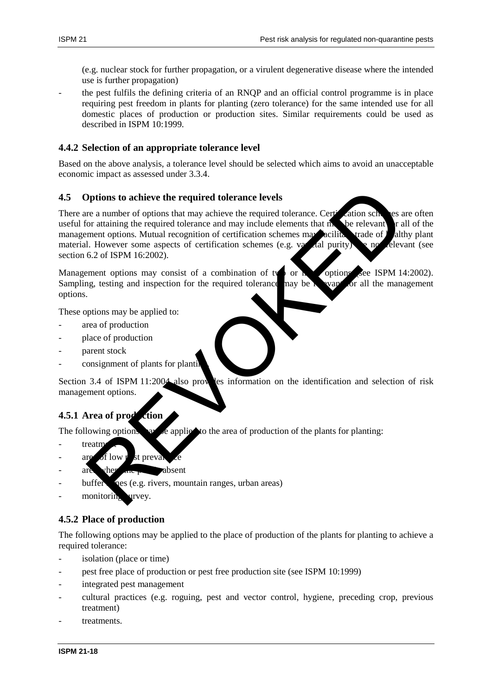(e.g. nuclear stock for further propagation, or a virulent degenerative disease where the intended use is further propagation)

- the pest fulfils the defining criteria of an RNQP and an official control programme is in place requiring pest freedom in plants for planting (zero tolerance) for the same intended use for all domestic places of production or production sites. Similar requirements could be used as described in ISPM 10:1999.

### **4.4.2 Selection of an appropriate tolerance level**

Based on the above analysis, a tolerance level should be selected which aims to avoid an unacceptable economic impact as assessed under 3.3.4.

#### **4.5 Options to achieve the required tolerance levels**

There are a number of options that may achieve the required tolerance. Certification schemes are often useful for attaining the required tolerance and may include elements that may be relevant  $\Gamma$  all of the management options. Mutual recognition of certification schemes may acilitate trade of healthy plant material. However some aspects of certification schemes (e.g. varietal purity) and relevant (see section 6.2 of ISPM 16:2002). Deprivant to achieve the required tolerance levels<br>
are a number of options that may achieve the required tolerance. Centration schmes required to<br>
the achieve to cataling the equivalence and may include elements that in<br>

Management options may consist of a combination of two or  $\mathbf h$  options (see ISPM 14:2002). Sampling, testing and inspection for the required tolerance may be reveal for all the management options.

These options may be applied to:

- area of production
- place of production
- parent stock
- consignment of plants for planti

Section 3.4 of ISPM 11:2004 also provides information on the identification and selection of risk management options.

#### **4.5.1 Area of production**

The following options may be applied to the area of production of the plants for planting:

- treatm
- are of low  $\nu$  st prevalence
- are vhere the absent
- buffer pes (e.g. rivers, mountain ranges, urban areas)
- monitoring urvey.

### **4.5.2 Place of production**

The following options may be applied to the place of production of the plants for planting to achieve a required tolerance:

- isolation (place or time)
- pest free place of production or pest free production site (see ISPM 10:1999)
- integrated pest management
- cultural practices (e.g. roguing, pest and vector control, hygiene, preceding crop, previous treatment)
- treatments.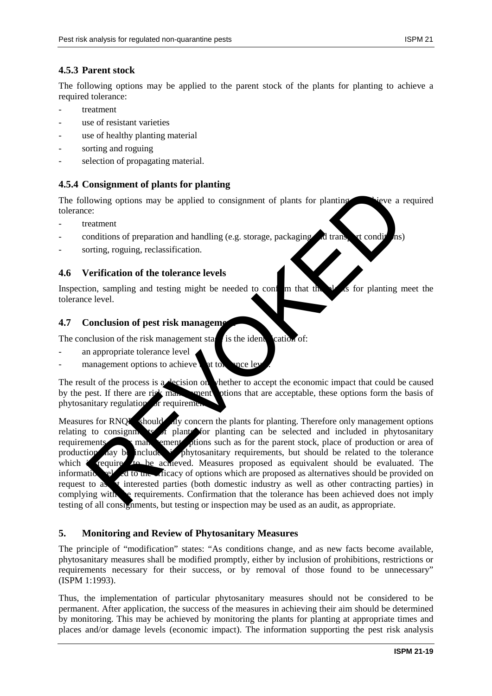## **4.5.3 Parent stock**

The following options may be applied to the parent stock of the plants for planting to achieve a required tolerance:

- treatment
- use of resistant varieties
- use of healthy planting material
- sorting and roguing
- selection of propagating material.

## **4.5.4 Consignment of plants for planting**

The following options may be applied to consignment of plants for planting the viewe a required tolerance:

- treatment
- $\alpha$  conditions of preparation and handling (e.g. storage, packaging and transport conditions)
- sorting, roguing, reclassification.

### **4.6 Verification of the tolerance levels**

Inspection, sampling and testing might be needed to confirm that the plants for planting meet the tolerance level.

### **4.7** Conclusion of pest risk management

The conclusion of the risk management stage is the identification of:

- an appropriate tolerance level
- management options to achieve that tolerance le

The result of the process is a decision on whether to accept the economic impact that could be caused by the pest. If there are risk man, spent ptions that are acceptable, these options form the basis of phytosanitary regulations or requirements

Measures for RNOPs should ally concern the plants for planting. Therefore only management options relating to consigning to  $f$  plants for planting can be selected and included in phytosanitary requirements. The management of management options such as for the parent stock, place of production or area of production may be included in phytosanitary requirements, but should be related to the tolerance which is required to be achieved. Measures proposed as equivalent should be evaluated. The information relation relation relations which are proposed as alternatives should be provided on request to as interested parties (both domestic industry as well as other contracting parties) in complying with the requirements. Confirmation that the tolerance has been achieved does not imply testing of all consignments, but testing or inspection may be used as an audit, as appropriate. Consignment of particle of particle in the consignment of plants for planting<br>lowing options may be applied to consignment of plants for planting<br>conditions of preparation and handling (e.g. storage, packaging and translat

### **5. Monitoring and Review of Phytosanitary Measures**

The principle of "modification" states: "As conditions change, and as new facts become available, phytosanitary measures shall be modified promptly, either by inclusion of prohibitions, restrictions or requirements necessary for their success, or by removal of those found to be unnecessary" (ISPM 1:1993).

Thus, the implementation of particular phytosanitary measures should not be considered to be permanent. After application, the success of the measures in achieving their aim should be determined by monitoring. This may be achieved by monitoring the plants for planting at appropriate times and places and/or damage levels (economic impact). The information supporting the pest risk analysis